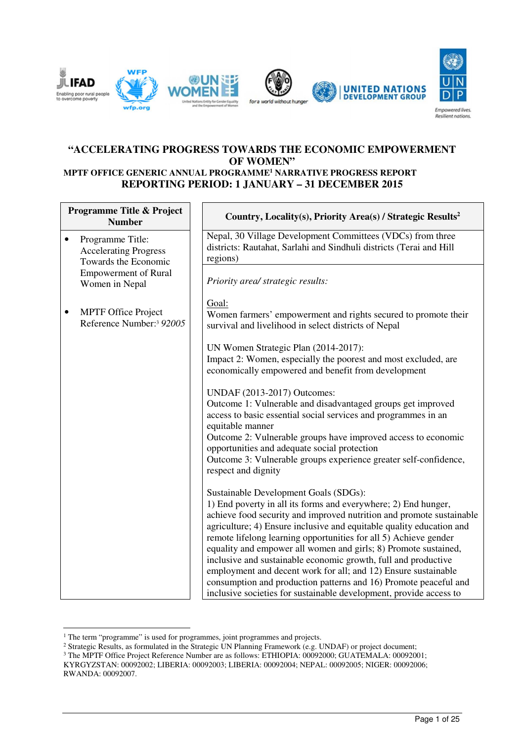

#### **"ACCELERATING PROGRESS TOWARDS THE ECONOMIC EMPOWERMENT OF WOMEN" MPTF OFFICE GENERIC ANNUAL PROGRAMME<sup>1</sup> NARRATIVE PROGRESS REPORT REPORTING PERIOD: 1 JANUARY – 31 DECEMBER 2015**

| <b>Programme Title &amp; Project</b><br><b>Number</b> |                                                                          | Country, Locality(s), Priority Area(s) / Strategic Results <sup>2</sup>                                                                                                                                                                                                                                                                                                                                                                                                                                                                                                                                                                                                      |
|-------------------------------------------------------|--------------------------------------------------------------------------|------------------------------------------------------------------------------------------------------------------------------------------------------------------------------------------------------------------------------------------------------------------------------------------------------------------------------------------------------------------------------------------------------------------------------------------------------------------------------------------------------------------------------------------------------------------------------------------------------------------------------------------------------------------------------|
| $\bullet$                                             | Programme Title:<br><b>Accelerating Progress</b><br>Towards the Economic | Nepal, 30 Village Development Committees (VDCs) from three<br>districts: Rautahat, Sarlahi and Sindhuli districts (Terai and Hill<br>regions)                                                                                                                                                                                                                                                                                                                                                                                                                                                                                                                                |
|                                                       | <b>Empowerment of Rural</b><br>Women in Nepal                            | Priority area/ strategic results:                                                                                                                                                                                                                                                                                                                                                                                                                                                                                                                                                                                                                                            |
|                                                       | <b>MPTF Office Project</b><br>Reference Number: <sup>3</sup> 92005       | Goal:<br>Women farmers' empowerment and rights secured to promote their<br>survival and livelihood in select districts of Nepal                                                                                                                                                                                                                                                                                                                                                                                                                                                                                                                                              |
|                                                       |                                                                          | UN Women Strategic Plan (2014-2017):<br>Impact 2: Women, especially the poorest and most excluded, are<br>economically empowered and benefit from development                                                                                                                                                                                                                                                                                                                                                                                                                                                                                                                |
|                                                       |                                                                          | UNDAF (2013-2017) Outcomes:<br>Outcome 1: Vulnerable and disadvantaged groups get improved<br>access to basic essential social services and programmes in an<br>equitable manner<br>Outcome 2: Vulnerable groups have improved access to economic<br>opportunities and adequate social protection<br>Outcome 3: Vulnerable groups experience greater self-confidence,<br>respect and dignity                                                                                                                                                                                                                                                                                 |
|                                                       |                                                                          | Sustainable Development Goals (SDGs):<br>1) End poverty in all its forms and everywhere; 2) End hunger,<br>achieve food security and improved nutrition and promote sustainable<br>agriculture; 4) Ensure inclusive and equitable quality education and<br>remote lifelong learning opportunities for all 5) Achieve gender<br>equality and empower all women and girls; 8) Promote sustained,<br>inclusive and sustainable economic growth, full and productive<br>employment and decent work for all; and 12) Ensure sustainable<br>consumption and production patterns and 16) Promote peaceful and<br>inclusive societies for sustainable development, provide access to |

<sup>&</sup>lt;sup>1</sup> The term "programme" is used for programmes, joint programmes and projects.

 $\overline{a}$ 

KYRGYZSTAN: 00092002; LIBERIA: 00092003; LIBERIA: 00092004; NEPAL: 00092005; NIGER: 00092006; RWANDA: 00092007.

<sup>&</sup>lt;sup>2</sup> Strategic Results, as formulated in the Strategic UN Planning Framework (e.g. UNDAF) or project document;<br><sup>3</sup> The MPTF Office Project Reference Number are as follows: ETHIOPIA: 00092000; GUATEMALA: 00092001;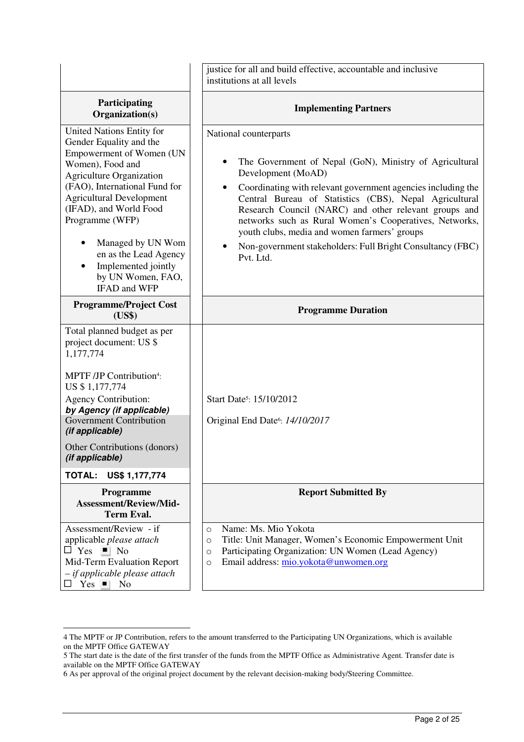|                                                                                                                                                                                                                                                                                                                                                                    | justice for all and build effective, accountable and inclusive<br>institutions at all levels                                                                                                                                                                                                                                                                                                                                                                                                             |  |
|--------------------------------------------------------------------------------------------------------------------------------------------------------------------------------------------------------------------------------------------------------------------------------------------------------------------------------------------------------------------|----------------------------------------------------------------------------------------------------------------------------------------------------------------------------------------------------------------------------------------------------------------------------------------------------------------------------------------------------------------------------------------------------------------------------------------------------------------------------------------------------------|--|
| Participating<br>Organization(s)                                                                                                                                                                                                                                                                                                                                   | <b>Implementing Partners</b>                                                                                                                                                                                                                                                                                                                                                                                                                                                                             |  |
| United Nations Entity for<br>Gender Equality and the<br>Empowerment of Women (UN<br>Women), Food and<br><b>Agriculture Organization</b><br>(FAO), International Fund for<br><b>Agricultural Development</b><br>(IFAD), and World Food<br>Programme (WFP)<br>Managed by UN Wom<br>en as the Lead Agency<br>Implemented jointly<br>by UN Women, FAO,<br>IFAD and WFP | National counterparts<br>The Government of Nepal (GoN), Ministry of Agricultural<br>$\bullet$<br>Development (MoAD)<br>Coordinating with relevant government agencies including the<br>$\bullet$<br>Central Bureau of Statistics (CBS), Nepal Agricultural<br>Research Council (NARC) and other relevant groups and<br>networks such as Rural Women's Cooperatives, Networks,<br>youth clubs, media and women farmers' groups<br>Non-government stakeholders: Full Bright Consultancy (FBC)<br>Pvt. Ltd. |  |
| <b>Programme/Project Cost</b><br>(US\$)                                                                                                                                                                                                                                                                                                                            | <b>Programme Duration</b>                                                                                                                                                                                                                                                                                                                                                                                                                                                                                |  |
| Total planned budget as per<br>project document: US \$<br>1,177,774<br>MPTF /JP Contribution <sup>4</sup> :<br>US \$1,177,774<br><b>Agency Contribution:</b><br>by Agency (if applicable)<br><b>Government Contribution</b><br>(if applicable)<br>Other Contributions (donors)<br>(if applicable)<br><b>TOTAL:</b><br>US\$ 1,177,774                               | Start Date <sup>5</sup> : 15/10/2012<br>Original End Date <sup>6</sup> : 14/10/2017                                                                                                                                                                                                                                                                                                                                                                                                                      |  |
| Programme                                                                                                                                                                                                                                                                                                                                                          | <b>Report Submitted By</b>                                                                                                                                                                                                                                                                                                                                                                                                                                                                               |  |
| <b>Assessment/Review/Mid-</b><br><b>Term Eval.</b>                                                                                                                                                                                                                                                                                                                 |                                                                                                                                                                                                                                                                                                                                                                                                                                                                                                          |  |
| Assessment/Review - if<br>applicable please attach<br>$\Box$ Yes $\Box$ No<br>Mid-Term Evaluation Report<br>- if applicable please attach<br>$Yes \blacksquare$<br>N <sub>o</sub>                                                                                                                                                                                  | Name: Ms. Mio Yokota<br>$\circ$<br>Title: Unit Manager, Women's Economic Empowerment Unit<br>$\circ$<br>Participating Organization: UN Women (Lead Agency)<br>$\circ$<br>Email address: mio.yokota@unwomen.org<br>$\circ$                                                                                                                                                                                                                                                                                |  |

<sup>4</sup> The MPTF or JP Contribution, refers to the amount transferred to the Participating UN Organizations, which is available on the MPTF Office GATEWAY

<sup>5</sup> The start date is the date of the first transfer of the funds from the MPTF Office as Administrative Agent. Transfer date is available on the MPTF Office GATEWAY

<sup>6</sup> As per approval of the original project document by the relevant decision-making body/Steering Committee.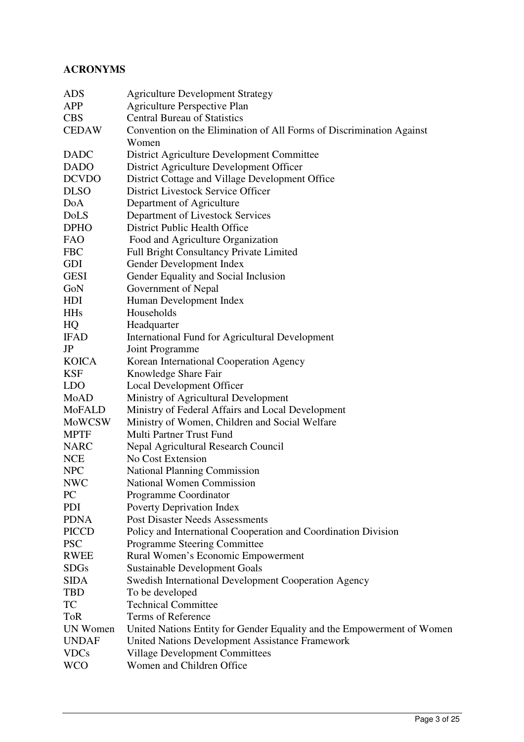# **ACRONYMS**

| <b>ADS</b>    | <b>Agriculture Development Strategy</b>                                |
|---------------|------------------------------------------------------------------------|
| APP           | <b>Agriculture Perspective Plan</b>                                    |
| <b>CBS</b>    | <b>Central Bureau of Statistics</b>                                    |
| <b>CEDAW</b>  | Convention on the Elimination of All Forms of Discrimination Against   |
|               | Women                                                                  |
| <b>DADC</b>   | District Agriculture Development Committee                             |
| <b>DADO</b>   | District Agriculture Development Officer                               |
| <b>DCVDO</b>  | District Cottage and Village Development Office                        |
| <b>DLSO</b>   | District Livestock Service Officer                                     |
| DoA           | Department of Agriculture                                              |
| DoLS          | Department of Livestock Services                                       |
| <b>DPHO</b>   | District Public Health Office                                          |
| <b>FAO</b>    | Food and Agriculture Organization                                      |
| <b>FBC</b>    | <b>Full Bright Consultancy Private Limited</b>                         |
|               |                                                                        |
| <b>GDI</b>    | Gender Development Index                                               |
| <b>GESI</b>   | Gender Equality and Social Inclusion                                   |
| GoN           | Government of Nepal                                                    |
| HDI           | Human Development Index                                                |
| <b>HHs</b>    | Households                                                             |
| HQ            | Headquarter                                                            |
| <b>IFAD</b>   | International Fund for Agricultural Development                        |
| JP            | Joint Programme                                                        |
| <b>KOICA</b>  | Korean International Cooperation Agency                                |
| <b>KSF</b>    | Knowledge Share Fair                                                   |
| <b>LDO</b>    | Local Development Officer                                              |
| MoAD          | Ministry of Agricultural Development                                   |
| <b>MoFALD</b> | Ministry of Federal Affairs and Local Development                      |
| MoWCSW        | Ministry of Women, Children and Social Welfare                         |
| <b>MPTF</b>   | Multi Partner Trust Fund                                               |
| <b>NARC</b>   | Nepal Agricultural Research Council                                    |
| <b>NCE</b>    | No Cost Extension                                                      |
| <b>NPC</b>    | <b>National Planning Commission</b>                                    |
| <b>NWC</b>    | <b>National Women Commission</b>                                       |
| <b>PC</b>     | Programme Coordinator                                                  |
| <b>PDI</b>    | Poverty Deprivation Index                                              |
| <b>PDNA</b>   | <b>Post Disaster Needs Assessments</b>                                 |
| <b>PICCD</b>  | Policy and International Cooperation and Coordination Division         |
| <b>PSC</b>    | Programme Steering Committee                                           |
| <b>RWEE</b>   | Rural Women's Economic Empowerment                                     |
| <b>SDGs</b>   | <b>Sustainable Development Goals</b>                                   |
| <b>SIDA</b>   | Swedish International Development Cooperation Agency                   |
| <b>TBD</b>    | To be developed                                                        |
| <b>TC</b>     | <b>Technical Committee</b>                                             |
| <b>ToR</b>    | Terms of Reference                                                     |
| UN Women      | United Nations Entity for Gender Equality and the Empowerment of Women |
| <b>UNDAF</b>  |                                                                        |
|               | United Nations Development Assistance Framework                        |
| <b>VDCs</b>   | <b>Village Development Committees</b>                                  |
| <b>WCO</b>    | Women and Children Office                                              |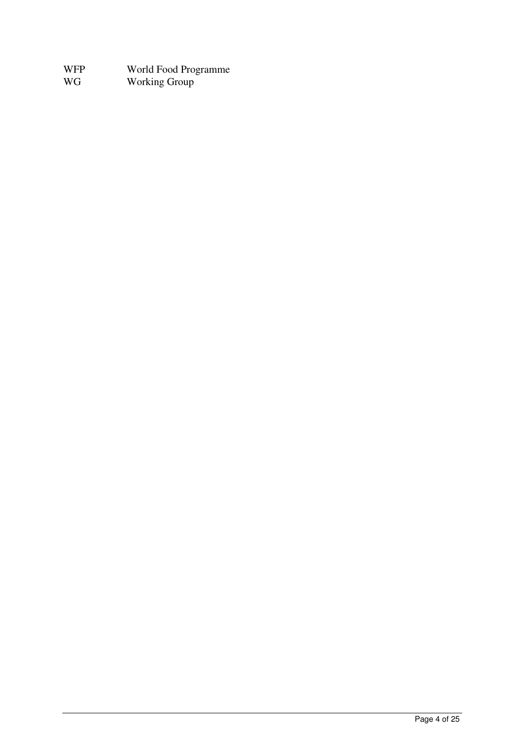| WFP | World Food Programme |
|-----|----------------------|
| WG  | <b>Working Group</b> |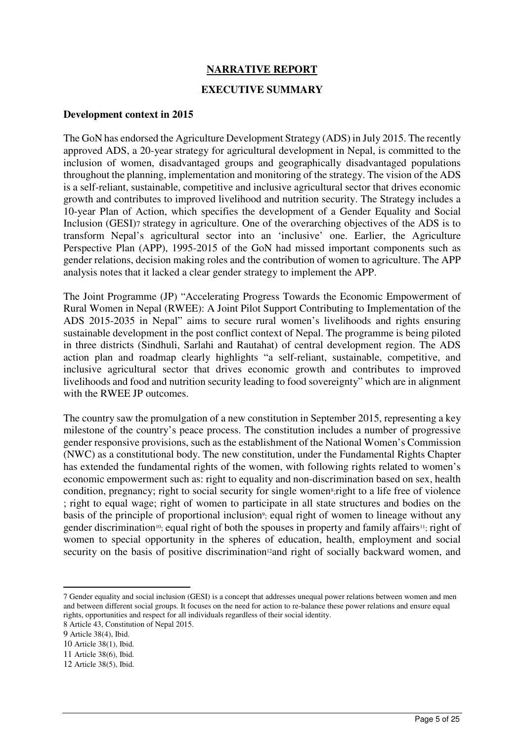## **NARRATIVE REPORT**

#### **EXECUTIVE SUMMARY**

#### **Development context in 2015**

The GoN has endorsed the Agriculture Development Strategy (ADS) in July 2015. The recently approved ADS, a 20-year strategy for agricultural development in Nepal, is committed to the inclusion of women, disadvantaged groups and geographically disadvantaged populations throughout the planning, implementation and monitoring of the strategy. The vision of the ADS is a self-reliant, sustainable, competitive and inclusive agricultural sector that drives economic growth and contributes to improved livelihood and nutrition security. The Strategy includes a 10-year Plan of Action, which specifies the development of a Gender Equality and Social Inclusion (GESI)7 strategy in agriculture. One of the overarching objectives of the ADS is to transform Nepal's agricultural sector into an 'inclusive' one. Earlier, the Agriculture Perspective Plan (APP), 1995-2015 of the GoN had missed important components such as gender relations, decision making roles and the contribution of women to agriculture. The APP analysis notes that it lacked a clear gender strategy to implement the APP.

The Joint Programme (JP) "Accelerating Progress Towards the Economic Empowerment of Rural Women in Nepal (RWEE): A Joint Pilot Support Contributing to Implementation of the ADS 2015-2035 in Nepal" aims to secure rural women's livelihoods and rights ensuring sustainable development in the post conflict context of Nepal. The programme is being piloted in three districts (Sindhuli, Sarlahi and Rautahat) of central development region. The ADS action plan and roadmap clearly highlights "a self-reliant, sustainable, competitive, and inclusive agricultural sector that drives economic growth and contributes to improved livelihoods and food and nutrition security leading to food sovereignty" which are in alignment with the RWEE JP outcomes.

The country saw the promulgation of a new constitution in September 2015, representing a key milestone of the country's peace process. The constitution includes a number of progressive gender responsive provisions, such as the establishment of the National Women's Commission (NWC) as a constitutional body. The new constitution, under the Fundamental Rights Chapter has extended the fundamental rights of the women, with following rights related to women's economic empowerment such as: right to equality and non-discrimination based on sex, health condition, pregnancy; right to social security for single women<sup>s</sup>; right to a life free of violence ; right to equal wage; right of women to participate in all state structures and bodies on the basis of the principle of proportional inclusion<sup>9</sup>; equal right of women to lineage without any gender discrimination<sup>10</sup>; equal right of both the spouses in property and family affairs<sup>11</sup>; right of women to special opportunity in the spheres of education, health, employment and social security on the basis of positive discrimination<sup>12</sup>and right of socially backward women, and

<sup>7</sup> Gender equality and social inclusion (GESI) is a concept that addresses unequal power relations between women and men and between different social groups. It focuses on the need for action to re-balance these power relations and ensure equal rights, opportunities and respect for all individuals regardless of their social identity.

<sup>8</sup> Article 43, Constitution of Nepal 2015.

<sup>9</sup> Article 38(4), Ibid.

<sup>10</sup> Article 38(1), Ibid.

<sup>11</sup> Article 38(6), Ibid.

<sup>12</sup> Article 38(5), Ibid.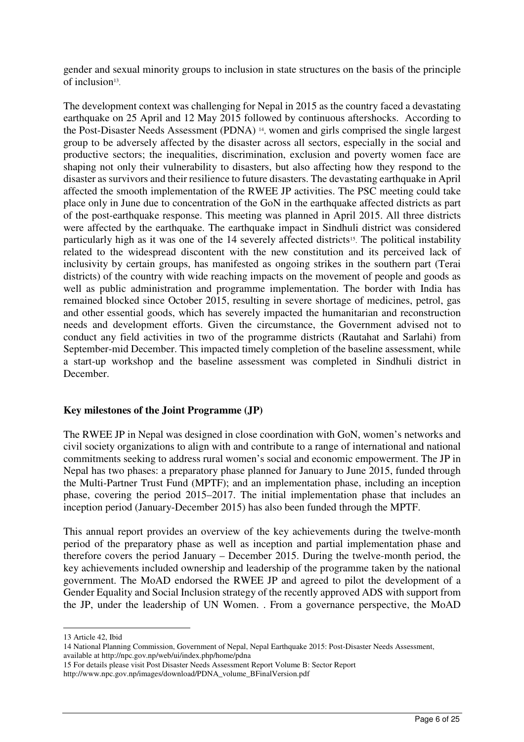gender and sexual minority groups to inclusion in state structures on the basis of the principle of inclusion<sup>13</sup>.

The development context was challenging for Nepal in 2015 as the country faced a devastating earthquake on 25 April and 12 May 2015 followed by continuous aftershocks. According to the Post-Disaster Needs Assessment (PDNA) <sup>14</sup> , women and girls comprised the single largest group to be adversely affected by the disaster across all sectors, especially in the social and productive sectors; the inequalities, discrimination, exclusion and poverty women face are shaping not only their vulnerability to disasters, but also affecting how they respond to the disaster as survivors and their resilience to future disasters. The devastating earthquake in April affected the smooth implementation of the RWEE JP activities. The PSC meeting could take place only in June due to concentration of the GoN in the earthquake affected districts as part of the post-earthquake response. This meeting was planned in April 2015. All three districts were affected by the earthquake. The earthquake impact in Sindhuli district was considered particularly high as it was one of the 14 severely affected districts<sup>15</sup>. The political instability related to the widespread discontent with the new constitution and its perceived lack of inclusivity by certain groups, has manifested as ongoing strikes in the southern part (Terai districts) of the country with wide reaching impacts on the movement of people and goods as well as public administration and programme implementation. The border with India has remained blocked since October 2015, resulting in severe shortage of medicines, petrol, gas and other essential goods, which has severely impacted the humanitarian and reconstruction needs and development efforts. Given the circumstance, the Government advised not to conduct any field activities in two of the programme districts (Rautahat and Sarlahi) from September-mid December. This impacted timely completion of the baseline assessment, while a start-up workshop and the baseline assessment was completed in Sindhuli district in December.

## **Key milestones of the Joint Programme (JP)**

The RWEE JP in Nepal was designed in close coordination with GoN, women's networks and civil society organizations to align with and contribute to a range of international and national commitments seeking to address rural women's social and economic empowerment. The JP in Nepal has two phases: a preparatory phase planned for January to June 2015, funded through the Multi-Partner Trust Fund (MPTF); and an implementation phase, including an inception phase, covering the period 2015–2017. The initial implementation phase that includes an inception period (January-December 2015) has also been funded through the MPTF.

This annual report provides an overview of the key achievements during the twelve-month period of the preparatory phase as well as inception and partial implementation phase and therefore covers the period January – December 2015. During the twelve-month period, the key achievements included ownership and leadership of the programme taken by the national government. The MoAD endorsed the RWEE JP and agreed to pilot the development of a Gender Equality and Social Inclusion strategy of the recently approved ADS with support from the JP, under the leadership of UN Women. . From a governance perspective, the MoAD

<sup>13</sup> Article 42, Ibid

<sup>14</sup> National Planning Commission, Government of Nepal, Nepal Earthquake 2015: Post-Disaster Needs Assessment, available at http://npc.gov.np/web/ui/index.php/home/pdna

<sup>15</sup> For details please visit Post Disaster Needs Assessment Report Volume B: Sector Report http://www.npc.gov.np/images/download/PDNA\_volume\_BFinalVersion.pdf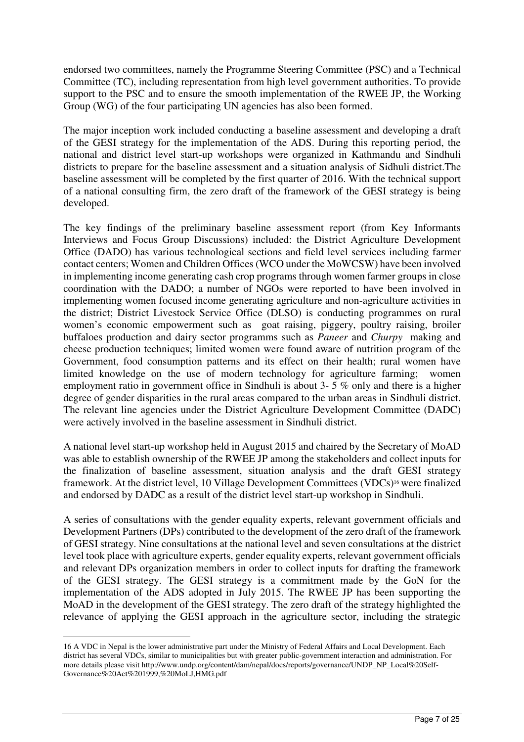endorsed two committees, namely the Programme Steering Committee (PSC) and a Technical Committee (TC), including representation from high level government authorities. To provide support to the PSC and to ensure the smooth implementation of the RWEE JP, the Working Group (WG) of the four participating UN agencies has also been formed.

The major inception work included conducting a baseline assessment and developing a draft of the GESI strategy for the implementation of the ADS. During this reporting period, the national and district level start-up workshops were organized in Kathmandu and Sindhuli districts to prepare for the baseline assessment and a situation analysis of Sidhuli district.The baseline assessment will be completed by the first quarter of 2016. With the technical support of a national consulting firm, the zero draft of the framework of the GESI strategy is being developed.

The key findings of the preliminary baseline assessment report (from Key Informants Interviews and Focus Group Discussions) included: the District Agriculture Development Office (DADO) has various technological sections and field level services including farmer contact centers; Women and Children Offices (WCO under the MoWCSW) have been involved in implementing income generating cash crop programs through women farmer groups in close coordination with the DADO; a number of NGOs were reported to have been involved in implementing women focused income generating agriculture and non-agriculture activities in the district; District Livestock Service Office (DLSO) is conducting programmes on rural women's economic empowerment such as goat raising, piggery, poultry raising, broiler buffaloes production and dairy sector programms such as *Paneer* and *Churpy* making and cheese production techniques; limited women were found aware of nutrition program of the Government, food consumption patterns and its effect on their health; rural women have limited knowledge on the use of modern technology for agriculture farming; women employment ratio in government office in Sindhuli is about 3- 5 % only and there is a higher degree of gender disparities in the rural areas compared to the urban areas in Sindhuli district. The relevant line agencies under the District Agriculture Development Committee (DADC) were actively involved in the baseline assessment in Sindhuli district.

A national level start-up workshop held in August 2015 and chaired by the Secretary of MoAD was able to establish ownership of the RWEE JP among the stakeholders and collect inputs for the finalization of baseline assessment, situation analysis and the draft GESI strategy framework. At the district level, 10 Village Development Committees (VDCs)<sup>16</sup> were finalized and endorsed by DADC as a result of the district level start-up workshop in Sindhuli.

A series of consultations with the gender equality experts, relevant government officials and Development Partners (DPs) contributed to the development of the zero draft of the framework of GESI strategy. Nine consultations at the national level and seven consultations at the district level took place with agriculture experts, gender equality experts, relevant government officials and relevant DPs organization members in order to collect inputs for drafting the framework of the GESI strategy. The GESI strategy is a commitment made by the GoN for the implementation of the ADS adopted in July 2015. The RWEE JP has been supporting the MoAD in the development of the GESI strategy. The zero draft of the strategy highlighted the relevance of applying the GESI approach in the agriculture sector, including the strategic

<sup>16</sup> A VDC in Nepal is the lower administrative part under the Ministry of Federal Affairs and Local Development. Each district has several VDCs, similar to municipalities but with greater public-government interaction and administration. For more details please visit http://www.undp.org/content/dam/nepal/docs/reports/governance/UNDP\_NP\_Local%20Self-Governance%20Act%201999,%20MoLJ,HMG.pdf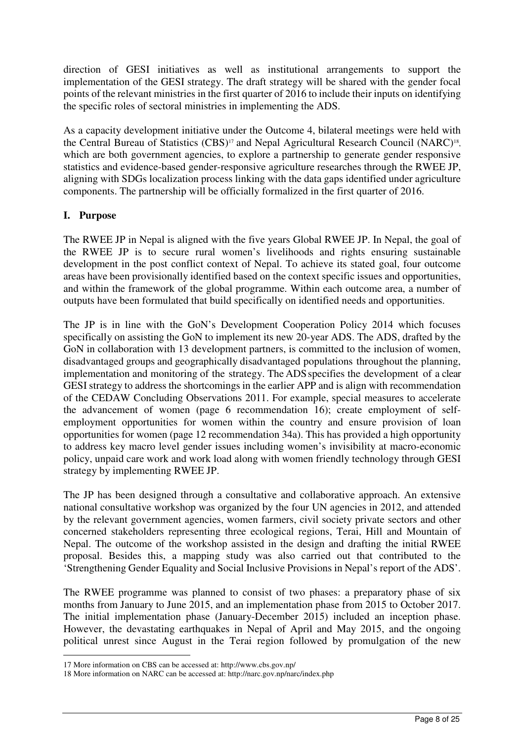direction of GESI initiatives as well as institutional arrangements to support the implementation of the GESI strategy. The draft strategy will be shared with the gender focal points of the relevant ministries in the first quarter of 2016 to include their inputs on identifying the specific roles of sectoral ministries in implementing the ADS.

As a capacity development initiative under the Outcome 4, bilateral meetings were held with the Central Bureau of Statistics (CBS)<sup>17</sup> and Nepal Agricultural Research Council (NARC)<sup>18</sup>, which are both government agencies, to explore a partnership to generate gender responsive statistics and evidence-based gender-responsive agriculture researches through the RWEE JP, aligning with SDGs localization process linking with the data gaps identified under agriculture components. The partnership will be officially formalized in the first quarter of 2016.

## **I. Purpose**

 $\overline{a}$ 

The RWEE JP in Nepal is aligned with the five years Global RWEE JP. In Nepal, the goal of the RWEE JP is to secure rural women's livelihoods and rights ensuring sustainable development in the post conflict context of Nepal. To achieve its stated goal, four outcome areas have been provisionally identified based on the context specific issues and opportunities, and within the framework of the global programme. Within each outcome area, a number of outputs have been formulated that build specifically on identified needs and opportunities.

The JP is in line with the GoN's Development Cooperation Policy 2014 which focuses specifically on assisting the GoN to implement its new 20-year ADS. The ADS, drafted by the GoN in collaboration with 13 development partners, is committed to the inclusion of women, disadvantaged groups and geographically disadvantaged populations throughout the planning, implementation and monitoring of the strategy. The ADS specifies the development of a clear GESI strategy to address the shortcomings in the earlier APP and is align with recommendation of the CEDAW Concluding Observations 2011. For example, special measures to accelerate the advancement of women (page 6 recommendation 16); create employment of selfemployment opportunities for women within the country and ensure provision of loan opportunities for women (page 12 recommendation 34a). This has provided a high opportunity to address key macro level gender issues including women's invisibility at macro-economic policy, unpaid care work and work load along with women friendly technology through GESI strategy by implementing RWEE JP.

The JP has been designed through a consultative and collaborative approach. An extensive national consultative workshop was organized by the four UN agencies in 2012, and attended by the relevant government agencies, women farmers, civil society private sectors and other concerned stakeholders representing three ecological regions, Terai, Hill and Mountain of Nepal. The outcome of the workshop assisted in the design and drafting the initial RWEE proposal. Besides this, a mapping study was also carried out that contributed to the 'Strengthening Gender Equality and Social Inclusive Provisions in Nepal's report of the ADS'.

The RWEE programme was planned to consist of two phases: a preparatory phase of six months from January to June 2015, and an implementation phase from 2015 to October 2017. The initial implementation phase (January-December 2015) included an inception phase. However, the devastating earthquakes in Nepal of April and May 2015, and the ongoing political unrest since August in the Terai region followed by promulgation of the new

<sup>17</sup> More information on CBS can be accessed at: http://www.cbs.gov.np/

<sup>18</sup> More information on NARC can be accessed at: http://narc.gov.np/narc/index.php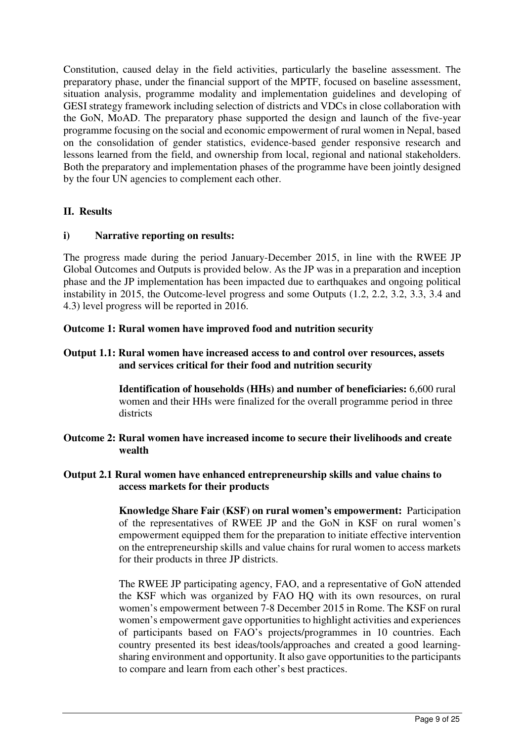Constitution, caused delay in the field activities, particularly the baseline assessment. The preparatory phase, under the financial support of the MPTF, focused on baseline assessment, situation analysis, programme modality and implementation guidelines and developing of GESI strategy framework including selection of districts and VDCs in close collaboration with the GoN, MoAD. The preparatory phase supported the design and launch of the five-year programme focusing on the social and economic empowerment of rural women in Nepal, based on the consolidation of gender statistics, evidence-based gender responsive research and lessons learned from the field, and ownership from local, regional and national stakeholders. Both the preparatory and implementation phases of the programme have been jointly designed by the four UN agencies to complement each other.

## **II. Results**

## **i) Narrative reporting on results:**

The progress made during the period January-December 2015, in line with the RWEE JP Global Outcomes and Outputs is provided below. As the JP was in a preparation and inception phase and the JP implementation has been impacted due to earthquakes and ongoing political instability in 2015, the Outcome-level progress and some Outputs (1.2, 2.2, 3.2, 3.3, 3.4 and 4.3) level progress will be reported in 2016.

## **Outcome 1: Rural women have improved food and nutrition security**

**Output 1.1: Rural women have increased access to and control over resources, assets and services critical for their food and nutrition security** 

> **Identification of households (HHs) and number of beneficiaries:** 6,600 rural women and their HHs were finalized for the overall programme period in three districts

**Outcome 2: Rural women have increased income to secure their livelihoods and create wealth** 

## **Output 2.1 Rural women have enhanced entrepreneurship skills and value chains to access markets for their products**

**Knowledge Share Fair (KSF) on rural women's empowerment:** Participation of the representatives of RWEE JP and the GoN in KSF on rural women's empowerment equipped them for the preparation to initiate effective intervention on the entrepreneurship skills and value chains for rural women to access markets for their products in three JP districts.

The RWEE JP participating agency, FAO, and a representative of GoN attended the KSF which was organized by FAO HQ with its own resources, on rural women's empowerment between 7-8 December 2015 in Rome. The KSF on rural women's empowerment gave opportunities to highlight activities and experiences of participants based on FAO's projects/programmes in 10 countries. Each country presented its best ideas/tools/approaches and created a good learningsharing environment and opportunity. It also gave opportunities to the participants to compare and learn from each other's best practices.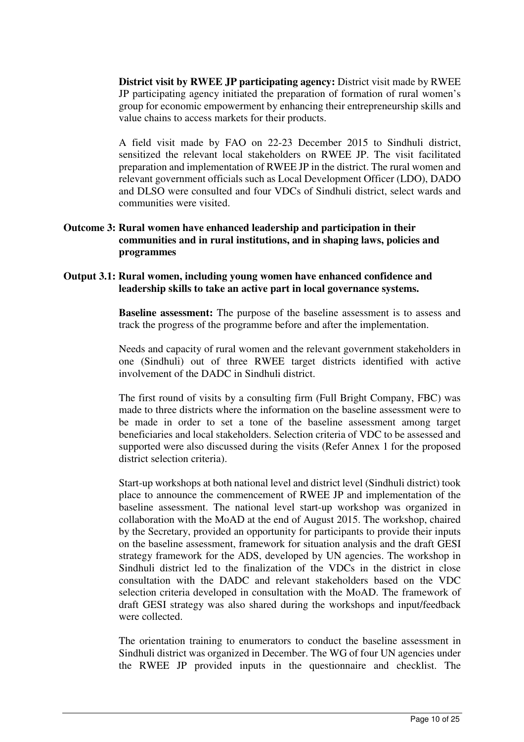**District visit by RWEE JP participating agency:** District visit made by RWEE JP participating agency initiated the preparation of formation of rural women's group for economic empowerment by enhancing their entrepreneurship skills and value chains to access markets for their products.

A field visit made by FAO on 22-23 December 2015 to Sindhuli district, sensitized the relevant local stakeholders on RWEE JP. The visit facilitated preparation and implementation of RWEE JP in the district. The rural women and relevant government officials such as Local Development Officer (LDO), DADO and DLSO were consulted and four VDCs of Sindhuli district, select wards and communities were visited.

#### **Outcome 3: Rural women have enhanced leadership and participation in their communities and in rural institutions, and in shaping laws, policies and programmes**

#### **Output 3.1: Rural women, including young women have enhanced confidence and leadership skills to take an active part in local governance systems.**

**Baseline assessment:** The purpose of the baseline assessment is to assess and track the progress of the programme before and after the implementation.

Needs and capacity of rural women and the relevant government stakeholders in one (Sindhuli) out of three RWEE target districts identified with active involvement of the DADC in Sindhuli district.

The first round of visits by a consulting firm (Full Bright Company, FBC) was made to three districts where the information on the baseline assessment were to be made in order to set a tone of the baseline assessment among target beneficiaries and local stakeholders. Selection criteria of VDC to be assessed and supported were also discussed during the visits (Refer Annex 1 for the proposed district selection criteria).

Start-up workshops at both national level and district level (Sindhuli district) took place to announce the commencement of RWEE JP and implementation of the baseline assessment. The national level start-up workshop was organized in collaboration with the MoAD at the end of August 2015. The workshop, chaired by the Secretary, provided an opportunity for participants to provide their inputs on the baseline assessment, framework for situation analysis and the draft GESI strategy framework for the ADS, developed by UN agencies. The workshop in Sindhuli district led to the finalization of the VDCs in the district in close consultation with the DADC and relevant stakeholders based on the VDC selection criteria developed in consultation with the MoAD. The framework of draft GESI strategy was also shared during the workshops and input/feedback were collected.

The orientation training to enumerators to conduct the baseline assessment in Sindhuli district was organized in December. The WG of four UN agencies under the RWEE JP provided inputs in the questionnaire and checklist. The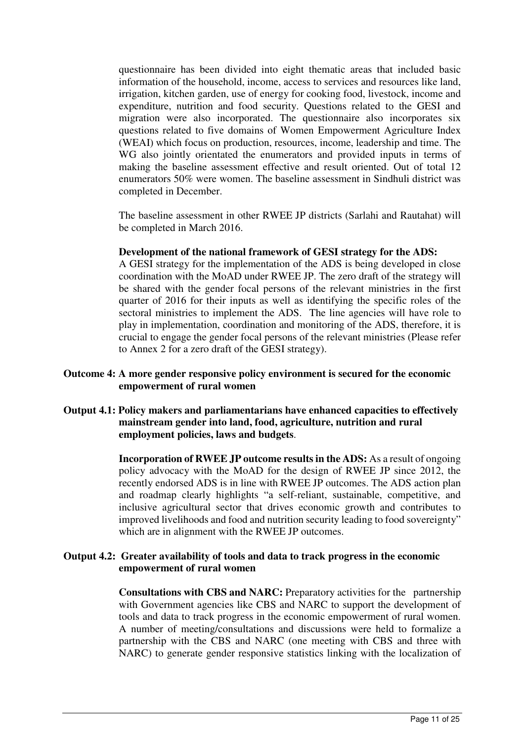questionnaire has been divided into eight thematic areas that included basic information of the household, income, access to services and resources like land, irrigation, kitchen garden, use of energy for cooking food, livestock, income and expenditure, nutrition and food security. Questions related to the GESI and migration were also incorporated. The questionnaire also incorporates six questions related to five domains of Women Empowerment Agriculture Index (WEAI) which focus on production, resources, income, leadership and time. The WG also jointly orientated the enumerators and provided inputs in terms of making the baseline assessment effective and result oriented. Out of total 12 enumerators 50% were women. The baseline assessment in Sindhuli district was completed in December.

The baseline assessment in other RWEE JP districts (Sarlahi and Rautahat) will be completed in March 2016.

#### **Development of the national framework of GESI strategy for the ADS:**

A GESI strategy for the implementation of the ADS is being developed in close coordination with the MoAD under RWEE JP. The zero draft of the strategy will be shared with the gender focal persons of the relevant ministries in the first quarter of 2016 for their inputs as well as identifying the specific roles of the sectoral ministries to implement the ADS. The line agencies will have role to play in implementation, coordination and monitoring of the ADS, therefore, it is crucial to engage the gender focal persons of the relevant ministries (Please refer to Annex 2 for a zero draft of the GESI strategy).

#### **Outcome 4: A more gender responsive policy environment is secured for the economic empowerment of rural women**

**Output 4.1: Policy makers and parliamentarians have enhanced capacities to effectively mainstream gender into land, food, agriculture, nutrition and rural employment policies, laws and budgets**.

> **Incorporation of RWEE JP outcome results in the ADS:** As a result of ongoing policy advocacy with the MoAD for the design of RWEE JP since 2012, the recently endorsed ADS is in line with RWEE JP outcomes. The ADS action plan and roadmap clearly highlights "a self-reliant, sustainable, competitive, and inclusive agricultural sector that drives economic growth and contributes to improved livelihoods and food and nutrition security leading to food sovereignty" which are in alignment with the RWEE JP outcomes.

#### **Output 4.2: Greater availability of tools and data to track progress in the economic empowerment of rural women**

**Consultations with CBS and NARC:** Preparatory activities for the partnership with Government agencies like CBS and NARC to support the development of tools and data to track progress in the economic empowerment of rural women. A number of meeting/consultations and discussions were held to formalize a partnership with the CBS and NARC (one meeting with CBS and three with NARC) to generate gender responsive statistics linking with the localization of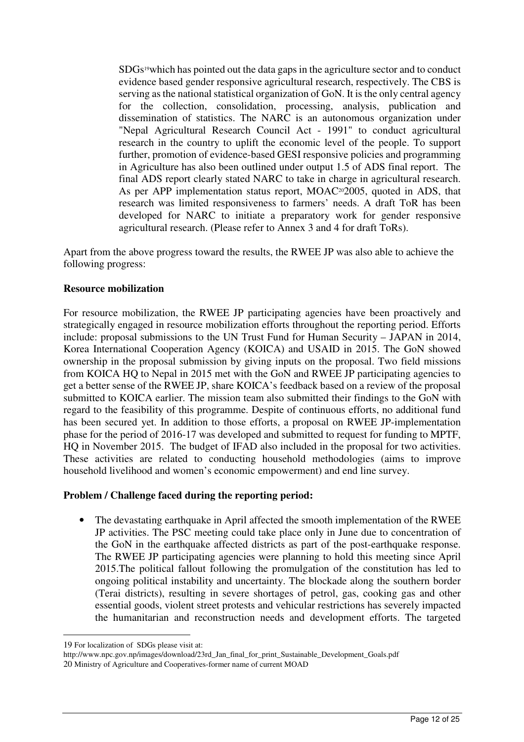SDGs19which has pointed out the data gaps in the agriculture sector and to conduct evidence based gender responsive agricultural research, respectively. The CBS is serving as the national statistical organization of GoN. It is the only central agency for the collection, consolidation, processing, analysis, publication and dissemination of statistics. The NARC is an autonomous organization under "Nepal Agricultural Research Council Act - 1991" to conduct agricultural research in the country to uplift the economic level of the people. To support further, promotion of evidence-based GESI responsive policies and programming in Agriculture has also been outlined under output 1.5 of ADS final report. The final ADS report clearly stated NARC to take in charge in agricultural research. As per APP implementation status report, MOAC<sup>20</sup>2005, quoted in ADS, that research was limited responsiveness to farmers' needs. A draft ToR has been developed for NARC to initiate a preparatory work for gender responsive agricultural research. (Please refer to Annex 3 and 4 for draft ToRs).

Apart from the above progress toward the results, the RWEE JP was also able to achieve the following progress:

#### **Resource mobilization**

For resource mobilization, the RWEE JP participating agencies have been proactively and strategically engaged in resource mobilization efforts throughout the reporting period. Efforts include: proposal submissions to the UN Trust Fund for Human Security – JAPAN in 2014, Korea International Cooperation Agency (KOICA) and USAID in 2015. The GoN showed ownership in the proposal submission by giving inputs on the proposal. Two field missions from KOICA HQ to Nepal in 2015 met with the GoN and RWEE JP participating agencies to get a better sense of the RWEE JP, share KOICA's feedback based on a review of the proposal submitted to KOICA earlier. The mission team also submitted their findings to the GoN with regard to the feasibility of this programme. Despite of continuous efforts, no additional fund has been secured yet. In addition to those efforts, a proposal on RWEE JP-implementation phase for the period of 2016-17 was developed and submitted to request for funding to MPTF, HQ in November 2015. The budget of IFAD also included in the proposal for two activities. These activities are related to conducting household methodologies (aims to improve household livelihood and women's economic empowerment) and end line survey.

## **Problem / Challenge faced during the reporting period:**

• The devastating earthquake in April affected the smooth implementation of the RWEE JP activities. The PSC meeting could take place only in June due to concentration of the GoN in the earthquake affected districts as part of the post-earthquake response. The RWEE JP participating agencies were planning to hold this meeting since April 2015.The political fallout following the promulgation of the constitution has led to ongoing political instability and uncertainty. The blockade along the southern border (Terai districts), resulting in severe shortages of petrol, gas, cooking gas and other essential goods, violent street protests and vehicular restrictions has severely impacted the humanitarian and reconstruction needs and development efforts. The targeted

<sup>19</sup> For localization of SDGs please visit at:

http://www.npc.gov.np/images/download/23rd\_Jan\_final\_for\_print\_Sustainable\_Development\_Goals.pdf 20 Ministry of Agriculture and Cooperatives-former name of current MOAD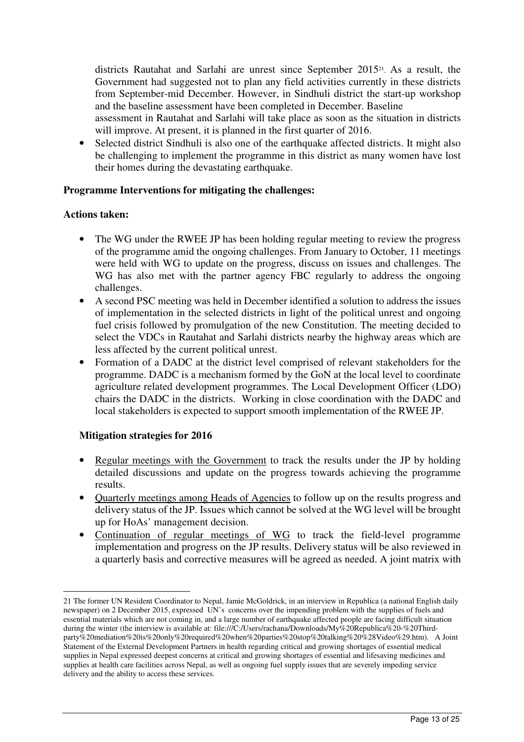districts Rautahat and Sarlahi are unrest since September 2015<sup>21</sup> . As a result, the Government had suggested not to plan any field activities currently in these districts from September-mid December. However, in Sindhuli district the start-up workshop and the baseline assessment have been completed in December. Baseline

assessment in Rautahat and Sarlahi will take place as soon as the situation in districts will improve. At present, it is planned in the first quarter of 2016.

• Selected district Sindhuli is also one of the earthquake affected districts. It might also be challenging to implement the programme in this district as many women have lost their homes during the devastating earthquake.

#### **Programme Interventions for mitigating the challenges:**

#### **Actions taken:**

 $\overline{a}$ 

- The WG under the RWEE JP has been holding regular meeting to review the progress of the programme amid the ongoing challenges. From January to October, 11 meetings were held with WG to update on the progress, discuss on issues and challenges. The WG has also met with the partner agency FBC regularly to address the ongoing challenges.
- A second PSC meeting was held in December identified a solution to address the issues of implementation in the selected districts in light of the political unrest and ongoing fuel crisis followed by promulgation of the new Constitution. The meeting decided to select the VDCs in Rautahat and Sarlahi districts nearby the highway areas which are less affected by the current political unrest.
- Formation of a DADC at the district level comprised of relevant stakeholders for the programme. DADC is a mechanism formed by the GoN at the local level to coordinate agriculture related development programmes. The Local Development Officer (LDO) chairs the DADC in the districts. Working in close coordination with the DADC and local stakeholders is expected to support smooth implementation of the RWEE JP.

#### **Mitigation strategies for 2016**

- Regular meetings with the Government to track the results under the JP by holding detailed discussions and update on the progress towards achieving the programme results.
- Ouarterly meetings among Heads of Agencies to follow up on the results progress and delivery status of the JP. Issues which cannot be solved at the WG level will be brought up for HoAs' management decision.
- Continuation of regular meetings of WG to track the field-level programme implementation and progress on the JP results. Delivery status will be also reviewed in a quarterly basis and corrective measures will be agreed as needed. A joint matrix with

<sup>21</sup> The former UN Resident Coordinator to Nepal, Jamie McGoldrick, in an interview in Republica (a national English daily newspaper) on 2 December 2015, expressed UN's concerns over the impending problem with the supplies of fuels and essential materials which are not coming in, and a large number of earthquake affected people are facing difficult situation during the winter (the interview is available at: file:///C:/Users/rachana/Downloads/My%20Republica%20-%20Thirdparty%20mediation%20is%20only%20required%20when%20parties%20stop%20talking%20%28Video%29.htm). A Joint Statement of the External Development Partners in health regarding critical and growing shortages of essential medical supplies in Nepal expressed deepest concerns at critical and growing shortages of essential and lifesaving medicines and supplies at health care facilities across Nepal, as well as ongoing fuel supply issues that are severely impeding service delivery and the ability to access these services.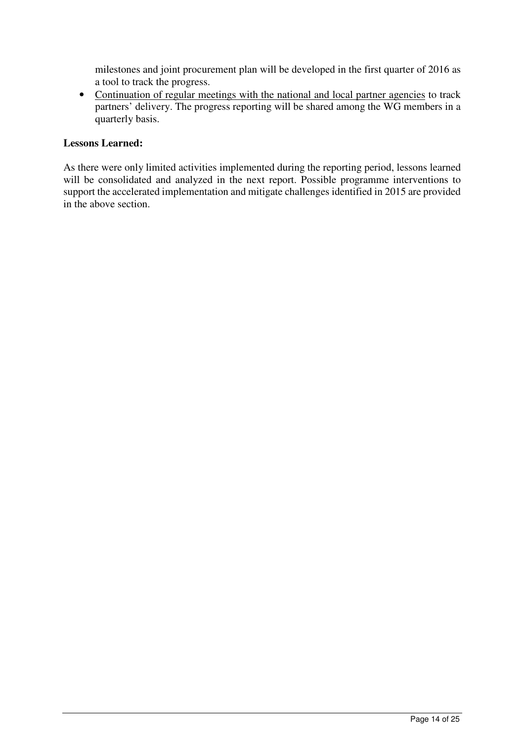milestones and joint procurement plan will be developed in the first quarter of 2016 as a tool to track the progress.

• Continuation of regular meetings with the national and local partner agencies to track partners' delivery. The progress reporting will be shared among the WG members in a quarterly basis.

## **Lessons Learned:**

As there were only limited activities implemented during the reporting period, lessons learned will be consolidated and analyzed in the next report. Possible programme interventions to support the accelerated implementation and mitigate challenges identified in 2015 are provided in the above section.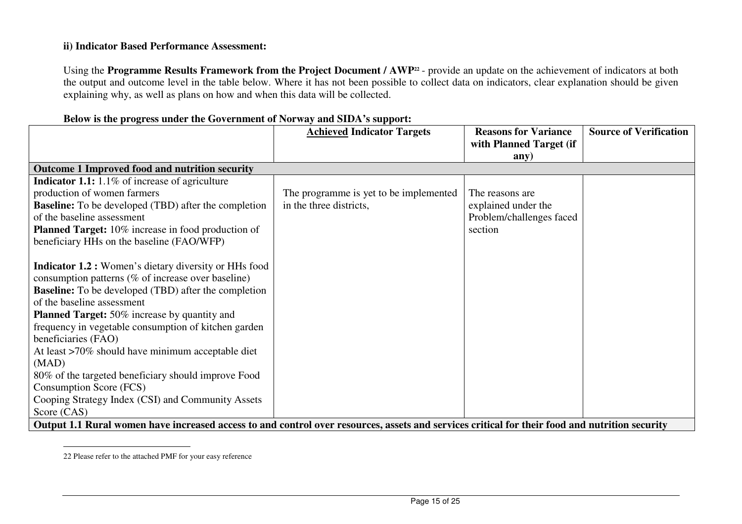#### **ii) Indicator Based Performance Assessment:**

Using the **Programme Results Framework from the Project Document / AWP<sup>22</sup>** - provide an update on the achievement of indicators at both the output and outcome level in the table below. Where it has not been possible to collect data on indicators, clear explanation should be given explaining why, as well as plans on how and when this data will be collected.

|                                                                                                                                                | <b>Achieved Indicator Targets</b>      | <b>Reasons for Variance</b> | <b>Source of Verification</b> |
|------------------------------------------------------------------------------------------------------------------------------------------------|----------------------------------------|-----------------------------|-------------------------------|
|                                                                                                                                                |                                        | with Planned Target (if     |                               |
|                                                                                                                                                |                                        | any)                        |                               |
| <b>Outcome 1 Improved food and nutrition security</b>                                                                                          |                                        |                             |                               |
| <b>Indicator 1.1:</b> 1.1% of increase of agriculture                                                                                          |                                        |                             |                               |
| production of women farmers                                                                                                                    | The programme is yet to be implemented | The reasons are.            |                               |
| <b>Baseline:</b> To be developed (TBD) after the completion                                                                                    | in the three districts,                | explained under the         |                               |
| of the baseline assessment                                                                                                                     |                                        | Problem/challenges faced    |                               |
| <b>Planned Target:</b> 10% increase in food production of                                                                                      |                                        | section                     |                               |
| beneficiary HHs on the baseline (FAO/WFP)                                                                                                      |                                        |                             |                               |
|                                                                                                                                                |                                        |                             |                               |
| <b>Indicator 1.2 :</b> Women's dietary diversity or HHs food                                                                                   |                                        |                             |                               |
| consumption patterns (% of increase over baseline)                                                                                             |                                        |                             |                               |
| <b>Baseline:</b> To be developed (TBD) after the completion                                                                                    |                                        |                             |                               |
| of the baseline assessment                                                                                                                     |                                        |                             |                               |
| <b>Planned Target:</b> 50% increase by quantity and                                                                                            |                                        |                             |                               |
| frequency in vegetable consumption of kitchen garden                                                                                           |                                        |                             |                               |
| beneficiaries (FAO)                                                                                                                            |                                        |                             |                               |
| At least >70% should have minimum acceptable diet                                                                                              |                                        |                             |                               |
| (MAD)                                                                                                                                          |                                        |                             |                               |
| 80% of the targeted beneficiary should improve Food                                                                                            |                                        |                             |                               |
| Consumption Score (FCS)                                                                                                                        |                                        |                             |                               |
| Cooping Strategy Index (CSI) and Community Assets                                                                                              |                                        |                             |                               |
| Score (CAS)                                                                                                                                    |                                        |                             |                               |
| Output 1.1 Rural women have increased access to and control over resources, assets and services critical for their food and nutrition security |                                        |                             |                               |

#### **Below is the progress under the Government of Norway and SIDA's support:**

<sup>22</sup> Please refer to the attached PMF for your easy reference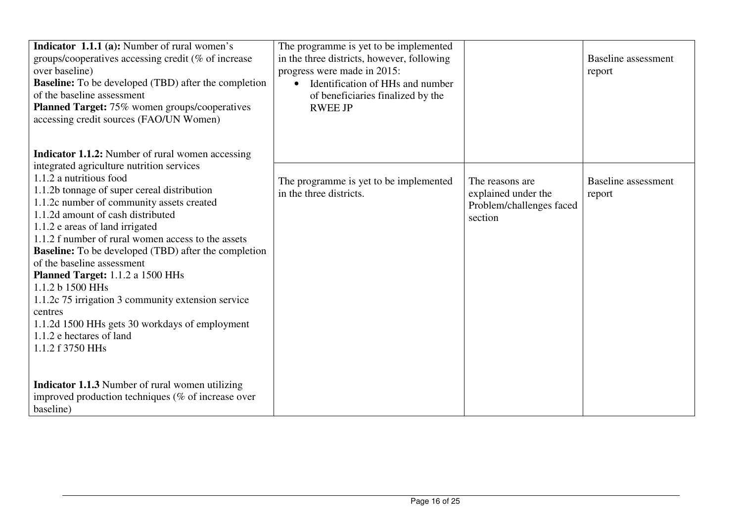| <b>Indicator 1.1.1 (a):</b> Number of rural women's<br>groups/cooperatives accessing credit ( $%$ of increase<br>over baseline)<br><b>Baseline:</b> To be developed (TBD) after the completion<br>of the baseline assessment<br><b>Planned Target:</b> 75% women groups/cooperatives<br>accessing credit sources (FAO/UN Women)<br><b>Indicator 1.1.2:</b> Number of rural women accessing                                                                                                                                                                                                                                                                                                                                                       | The programme is yet to be implemented<br>in the three districts, however, following<br>progress were made in 2015:<br>Identification of HHs and number<br>of beneficiaries finalized by the<br><b>RWEE JP</b> |                                                                               | Baseline assessment<br>report        |
|--------------------------------------------------------------------------------------------------------------------------------------------------------------------------------------------------------------------------------------------------------------------------------------------------------------------------------------------------------------------------------------------------------------------------------------------------------------------------------------------------------------------------------------------------------------------------------------------------------------------------------------------------------------------------------------------------------------------------------------------------|----------------------------------------------------------------------------------------------------------------------------------------------------------------------------------------------------------------|-------------------------------------------------------------------------------|--------------------------------------|
| integrated agriculture nutrition services<br>1.1.2 a nutritious food<br>1.1.2b tonnage of super cereal distribution<br>1.1.2c number of community assets created<br>1.1.2d amount of cash distributed<br>1.1.2 e areas of land irrigated<br>1.1.2 f number of rural women access to the assets<br><b>Baseline:</b> To be developed (TBD) after the completion<br>of the baseline assessment<br><b>Planned Target:</b> 1.1.2 a 1500 HHs<br>1.1.2 b 1500 HHs<br>1.1.2c 75 irrigation 3 community extension service<br>centres<br>1.1.2d 1500 HHs gets 30 workdays of employment<br>1.1.2 e hectares of land<br>1.1.2 f 3750 HHs<br><b>Indicator 1.1.3</b> Number of rural women utilizing<br>improved production techniques ( $%$ of increase over | The programme is yet to be implemented<br>in the three districts.                                                                                                                                              | The reasons are<br>explained under the<br>Problem/challenges faced<br>section | <b>Baseline</b> assessment<br>report |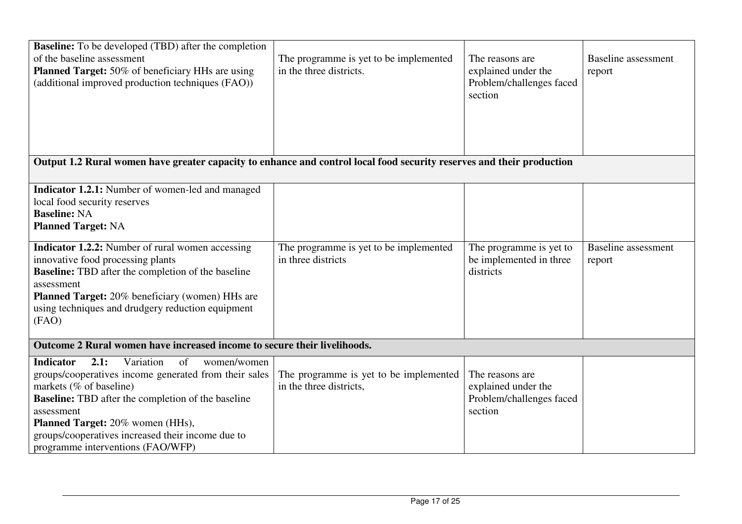| <b>Baseline:</b> To be developed (TBD) after the completion<br>of the baseline assessment<br><b>Planned Target:</b> 50% of beneficiary HHs are using<br>(additional improved production techniques (FAO))                                                                                                                                                                                                                                      | The programme is yet to be implemented<br>in the three districts. | The reasons are<br>explained under the<br>Problem/challenges faced<br>section | <b>Baseline</b> assessment<br>report |
|------------------------------------------------------------------------------------------------------------------------------------------------------------------------------------------------------------------------------------------------------------------------------------------------------------------------------------------------------------------------------------------------------------------------------------------------|-------------------------------------------------------------------|-------------------------------------------------------------------------------|--------------------------------------|
|                                                                                                                                                                                                                                                                                                                                                                                                                                                |                                                                   |                                                                               |                                      |
| Output 1.2 Rural women have greater capacity to enhance and control local food security reserves and their production                                                                                                                                                                                                                                                                                                                          |                                                                   |                                                                               |                                      |
| <b>Indicator 1.2.1:</b> Number of women-led and managed<br>local food security reserves<br><b>Baseline: NA</b><br><b>Planned Target: NA</b><br><b>Indicator 1.2.2:</b> Number of rural women accessing<br>innovative food processing plants<br><b>Baseline:</b> TBD after the completion of the baseline<br>assessment<br><b>Planned Target:</b> 20% beneficiary (women) HHs are<br>using techniques and drudgery reduction equipment<br>(FAO) | The programme is yet to be implemented<br>in three districts      | The programme is yet to<br>be implemented in three<br>districts               | <b>Baseline</b> assessment<br>report |
| Outcome 2 Rural women have increased income to secure their livelihoods.                                                                                                                                                                                                                                                                                                                                                                       |                                                                   |                                                                               |                                      |
| <b>Indicator</b><br>2.1:<br>Variation<br>of<br>women/women<br>groups/cooperatives income generated from their sales<br>markets (% of baseline)<br><b>Baseline:</b> TBD after the completion of the baseline<br>assessment<br>Planned Target: 20% women (HHs),<br>groups/cooperatives increased their income due to<br>programme interventions (FAO/WFP)                                                                                        | The programme is yet to be implemented<br>in the three districts, | The reasons are<br>explained under the<br>Problem/challenges faced<br>section |                                      |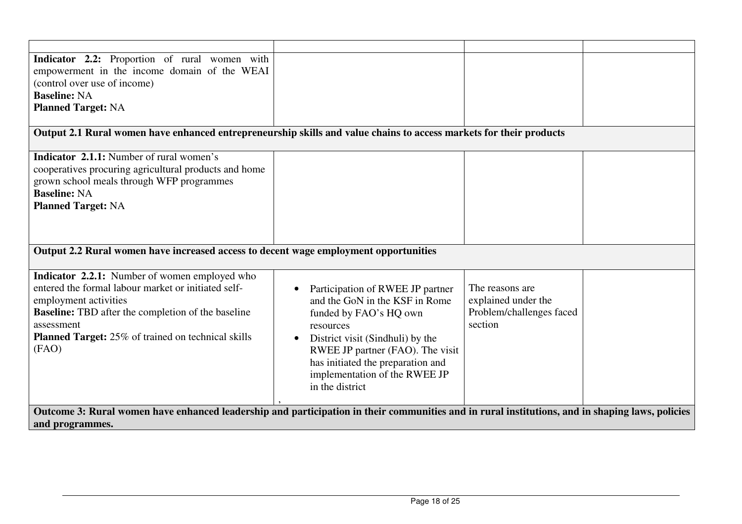| Indicator 2.2: Proportion of rural women with                                                                                                   |                                   |                          |  |
|-------------------------------------------------------------------------------------------------------------------------------------------------|-----------------------------------|--------------------------|--|
| empowerment in the income domain of the WEAI                                                                                                    |                                   |                          |  |
| (control over use of income)<br><b>Baseline: NA</b>                                                                                             |                                   |                          |  |
| <b>Planned Target: NA</b>                                                                                                                       |                                   |                          |  |
|                                                                                                                                                 |                                   |                          |  |
| Output 2.1 Rural women have enhanced entrepreneurship skills and value chains to access markets for their products                              |                                   |                          |  |
| <b>Indicator 2.1.1:</b> Number of rural women's                                                                                                 |                                   |                          |  |
| cooperatives procuring agricultural products and home                                                                                           |                                   |                          |  |
| grown school meals through WFP programmes                                                                                                       |                                   |                          |  |
| <b>Baseline: NA</b>                                                                                                                             |                                   |                          |  |
| <b>Planned Target: NA</b>                                                                                                                       |                                   |                          |  |
|                                                                                                                                                 |                                   |                          |  |
|                                                                                                                                                 |                                   |                          |  |
| Output 2.2 Rural women have increased access to decent wage employment opportunities                                                            |                                   |                          |  |
|                                                                                                                                                 |                                   |                          |  |
| <b>Indicator 2.2.1:</b> Number of women employed who                                                                                            |                                   |                          |  |
| entered the formal labour market or initiated self-                                                                                             | Participation of RWEE JP partner  | The reasons are          |  |
| employment activities                                                                                                                           | and the GoN in the KSF in Rome    | explained under the      |  |
| <b>Baseline:</b> TBD after the completion of the baseline                                                                                       | funded by FAO's HQ own            | Problem/challenges faced |  |
| assessment                                                                                                                                      | resources                         | section                  |  |
| <b>Planned Target:</b> 25% of trained on technical skills                                                                                       | District visit (Sindhuli) by the  |                          |  |
| (FAO)                                                                                                                                           | RWEE JP partner (FAO). The visit  |                          |  |
|                                                                                                                                                 | has initiated the preparation and |                          |  |
|                                                                                                                                                 | implementation of the RWEE JP     |                          |  |
|                                                                                                                                                 | in the district                   |                          |  |
|                                                                                                                                                 |                                   |                          |  |
| Outcome 3: Rural women have enhanced leadership and participation in their communities and in rural institutions, and in shaping laws, policies |                                   |                          |  |
| and programmes.                                                                                                                                 |                                   |                          |  |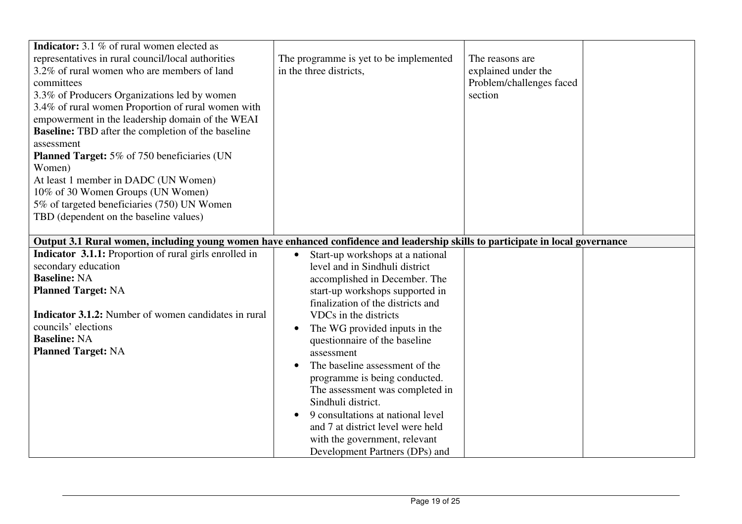| <b>Indicator:</b> 3.1 % of rural women elected as<br>representatives in rural council/local authorities<br>3.2% of rural women who are members of land<br>committees<br>3.3% of Producers Organizations led by women<br>3.4% of rural women Proportion of rural women with<br>empowerment in the leadership domain of the WEAI<br><b>Baseline:</b> TBD after the completion of the baseline<br>assessment<br><b>Planned Target:</b> 5% of 750 beneficiaries (UN<br>Women)<br>At least 1 member in DADC (UN Women)<br>10% of 30 Women Groups (UN Women)<br>5% of targeted beneficiaries (750) UN Women<br>TBD (dependent on the baseline values) | The programme is yet to be implemented<br>in the three districts,                                                                                                                                                                                                                                                                                                                                                                                                                                                                                                                       | The reasons are<br>explained under the<br>Problem/challenges faced<br>section |  |
|-------------------------------------------------------------------------------------------------------------------------------------------------------------------------------------------------------------------------------------------------------------------------------------------------------------------------------------------------------------------------------------------------------------------------------------------------------------------------------------------------------------------------------------------------------------------------------------------------------------------------------------------------|-----------------------------------------------------------------------------------------------------------------------------------------------------------------------------------------------------------------------------------------------------------------------------------------------------------------------------------------------------------------------------------------------------------------------------------------------------------------------------------------------------------------------------------------------------------------------------------------|-------------------------------------------------------------------------------|--|
| Output 3.1 Rural women, including young women have enhanced confidence and leadership skills to participate in local governance                                                                                                                                                                                                                                                                                                                                                                                                                                                                                                                 |                                                                                                                                                                                                                                                                                                                                                                                                                                                                                                                                                                                         |                                                                               |  |
| Indicator 3.1.1: Proportion of rural girls enrolled in<br>secondary education<br><b>Baseline: NA</b><br><b>Planned Target: NA</b><br><b>Indicator 3.1.2:</b> Number of women candidates in rural<br>councils' elections<br><b>Baseline: NA</b><br><b>Planned Target: NA</b>                                                                                                                                                                                                                                                                                                                                                                     | Start-up workshops at a national<br>$\bullet$<br>level and in Sindhuli district<br>accomplished in December. The<br>start-up workshops supported in<br>finalization of the districts and<br>VDCs in the districts<br>The WG provided inputs in the<br>$\bullet$<br>questionnaire of the baseline<br>assessment<br>The baseline assessment of the<br>programme is being conducted.<br>The assessment was completed in<br>Sindhuli district.<br>9 consultations at national level<br>and 7 at district level were held<br>with the government, relevant<br>Development Partners (DPs) and |                                                                               |  |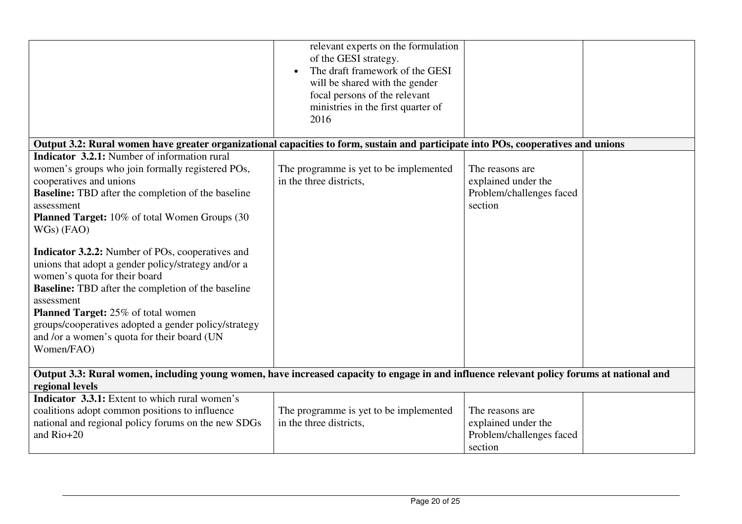|                                                                                                                                                                                                                                                                                                                                                                                                                                                                                                                                                                                                                                                                                        | relevant experts on the formulation<br>of the GESI strategy.<br>The draft framework of the GESI<br>will be shared with the gender<br>focal persons of the relevant<br>ministries in the first quarter of<br>2016 |                                                                               |  |
|----------------------------------------------------------------------------------------------------------------------------------------------------------------------------------------------------------------------------------------------------------------------------------------------------------------------------------------------------------------------------------------------------------------------------------------------------------------------------------------------------------------------------------------------------------------------------------------------------------------------------------------------------------------------------------------|------------------------------------------------------------------------------------------------------------------------------------------------------------------------------------------------------------------|-------------------------------------------------------------------------------|--|
| Output 3.2: Rural women have greater organizational capacities to form, sustain and participate into POs, cooperatives and unions                                                                                                                                                                                                                                                                                                                                                                                                                                                                                                                                                      |                                                                                                                                                                                                                  |                                                                               |  |
| <b>Indicator 3.2.1:</b> Number of information rural<br>women's groups who join formally registered POs,<br>cooperatives and unions<br><b>Baseline:</b> TBD after the completion of the baseline<br>assessment<br><b>Planned Target:</b> 10% of total Women Groups (30)<br>$WGs)$ (FAO)<br><b>Indicator 3.2.2:</b> Number of POs, cooperatives and<br>unions that adopt a gender policy/strategy and/or a<br>women's quota for their board<br><b>Baseline:</b> TBD after the completion of the baseline<br>assessment<br><b>Planned Target:</b> 25% of total women<br>groups/cooperatives adopted a gender policy/strategy<br>and /or a women's quota for their board (UN<br>Women/FAO) | The programme is yet to be implemented<br>in the three districts.                                                                                                                                                | The reasons are<br>explained under the<br>Problem/challenges faced<br>section |  |
| Output 3.3: Rural women, including young women, have increased capacity to engage in and influence relevant policy forums at national and<br>regional levels                                                                                                                                                                                                                                                                                                                                                                                                                                                                                                                           |                                                                                                                                                                                                                  |                                                                               |  |
| Indicator 3.3.1: Extent to which rural women's<br>coalitions adopt common positions to influence<br>national and regional policy forums on the new SDGs<br>and Rio+20                                                                                                                                                                                                                                                                                                                                                                                                                                                                                                                  | The programme is yet to be implemented<br>in the three districts.                                                                                                                                                | The reasons are<br>explained under the<br>Problem/challenges faced<br>section |  |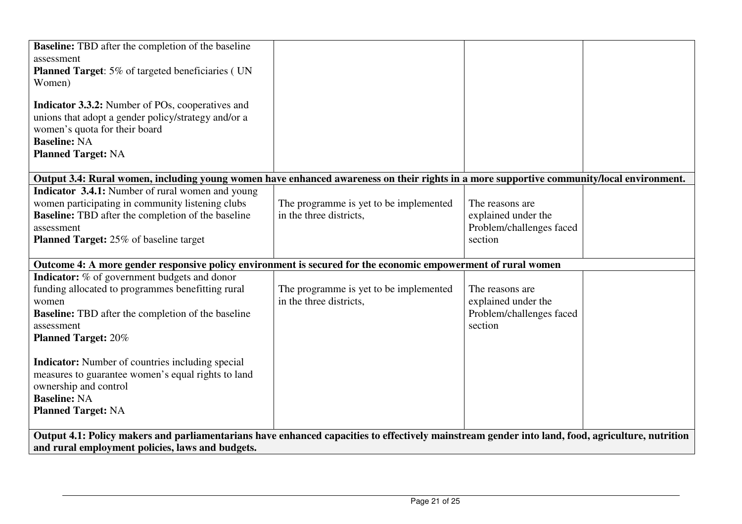| <b>Baseline:</b> TBD after the completion of the baseline<br>assessment<br><b>Planned Target:</b> 5% of targeted beneficiaries (UN<br>Women)<br><b>Indicator 3.3.2:</b> Number of POs, cooperatives and<br>unions that adopt a gender policy/strategy and/or a<br>women's quota for their board |                                                                   |                                                                               |  |  |
|-------------------------------------------------------------------------------------------------------------------------------------------------------------------------------------------------------------------------------------------------------------------------------------------------|-------------------------------------------------------------------|-------------------------------------------------------------------------------|--|--|
| <b>Baseline: NA</b><br><b>Planned Target: NA</b>                                                                                                                                                                                                                                                |                                                                   |                                                                               |  |  |
| Output 3.4: Rural women, including young women have enhanced awareness on their rights in a more supportive community/local environment.                                                                                                                                                        |                                                                   |                                                                               |  |  |
| <b>Indicator 3.4.1:</b> Number of rural women and young<br>women participating in community listening clubs<br><b>Baseline:</b> TBD after the completion of the baseline<br>assessment<br><b>Planned Target:</b> 25% of baseline target                                                         | The programme is yet to be implemented<br>in the three districts, | The reasons are<br>explained under the<br>Problem/challenges faced<br>section |  |  |
| Outcome 4: A more gender responsive policy environment is secured for the economic empowerment of rural women                                                                                                                                                                                   |                                                                   |                                                                               |  |  |
| <b>Indicator:</b> % of government budgets and donor<br>funding allocated to programmes benefitting rural<br>women<br><b>Baseline:</b> TBD after the completion of the baseline<br>assessment<br><b>Planned Target: 20%</b>                                                                      | The programme is yet to be implemented<br>in the three districts, | The reasons are<br>explained under the<br>Problem/challenges faced<br>section |  |  |
| <b>Indicator:</b> Number of countries including special<br>measures to guarantee women's equal rights to land<br>ownership and control<br><b>Baseline: NA</b><br><b>Planned Target: NA</b>                                                                                                      |                                                                   |                                                                               |  |  |
| Output 4.1: Policy makers and parliamentarians have enhanced capacities to effectively mainstream gender into land, food, agriculture, nutrition<br>and rural employment policies, laws and budgets.                                                                                            |                                                                   |                                                                               |  |  |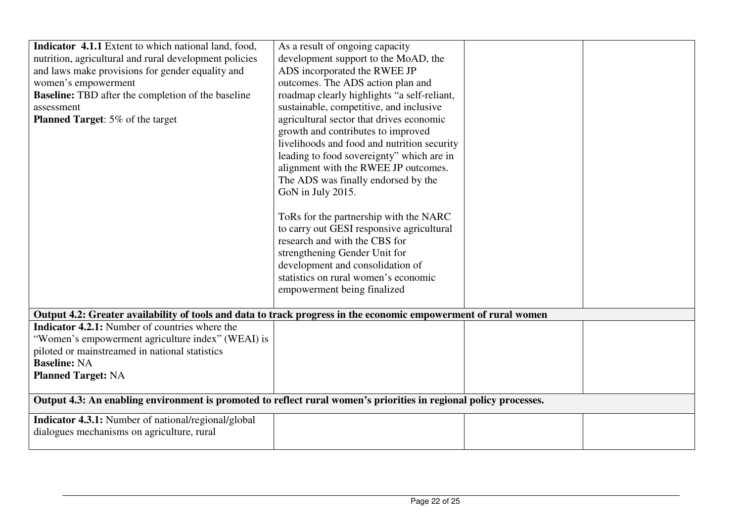| Indicator 4.1.1 Extent to which national land, food,                                                              | As a result of ongoing capacity             |  |
|-------------------------------------------------------------------------------------------------------------------|---------------------------------------------|--|
| nutrition, agricultural and rural development policies                                                            | development support to the MoAD, the        |  |
| and laws make provisions for gender equality and                                                                  | ADS incorporated the RWEE JP                |  |
| women's empowerment                                                                                               | outcomes. The ADS action plan and           |  |
| <b>Baseline:</b> TBD after the completion of the baseline                                                         | roadmap clearly highlights "a self-reliant, |  |
| assessment                                                                                                        | sustainable, competitive, and inclusive     |  |
| Planned Target: 5% of the target                                                                                  | agricultural sector that drives economic    |  |
|                                                                                                                   | growth and contributes to improved          |  |
|                                                                                                                   | livelihoods and food and nutrition security |  |
|                                                                                                                   | leading to food sovereignty" which are in   |  |
|                                                                                                                   | alignment with the RWEE JP outcomes.        |  |
|                                                                                                                   | The ADS was finally endorsed by the         |  |
|                                                                                                                   | GoN in July 2015.                           |  |
|                                                                                                                   |                                             |  |
|                                                                                                                   | ToRs for the partnership with the NARC      |  |
|                                                                                                                   | to carry out GESI responsive agricultural   |  |
|                                                                                                                   | research and with the CBS for               |  |
|                                                                                                                   | strengthening Gender Unit for               |  |
|                                                                                                                   | development and consolidation of            |  |
|                                                                                                                   | statistics on rural women's economic        |  |
|                                                                                                                   | empowerment being finalized                 |  |
|                                                                                                                   |                                             |  |
| Output 4.2: Greater availability of tools and data to track progress in the economic empowerment of rural women   |                                             |  |
| <b>Indicator 4.2.1:</b> Number of countries where the                                                             |                                             |  |
| "Women's empowerment agriculture index" (WEAI) is                                                                 |                                             |  |
| piloted or mainstreamed in national statistics                                                                    |                                             |  |
| <b>Baseline: NA</b>                                                                                               |                                             |  |
| <b>Planned Target: NA</b>                                                                                         |                                             |  |
|                                                                                                                   |                                             |  |
| Output 4.3: An enabling environment is promoted to reflect rural women's priorities in regional policy processes. |                                             |  |
|                                                                                                                   |                                             |  |
| <b>Indicator 4.3.1:</b> Number of national/regional/global                                                        |                                             |  |
| dialogues mechanisms on agriculture, rural                                                                        |                                             |  |
|                                                                                                                   |                                             |  |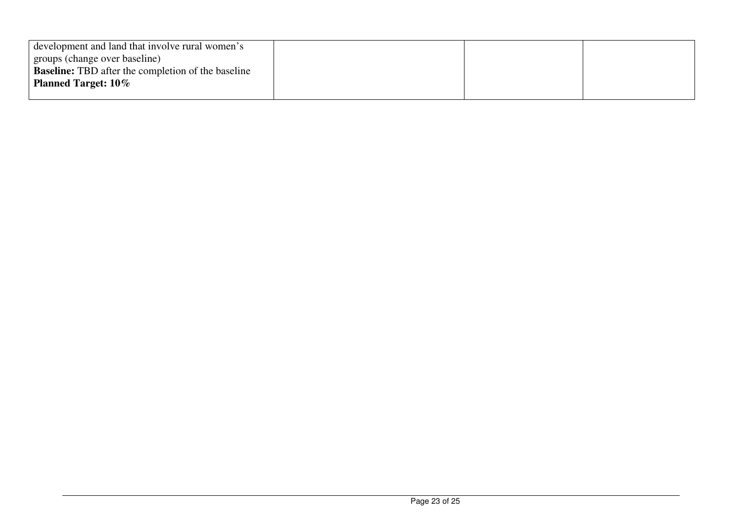| development and land that involve rural women's           |  |  |
|-----------------------------------------------------------|--|--|
| groups (change over baseline)                             |  |  |
| <b>Baseline:</b> TBD after the completion of the baseline |  |  |
| <b>Planned Target: 10%</b>                                |  |  |
|                                                           |  |  |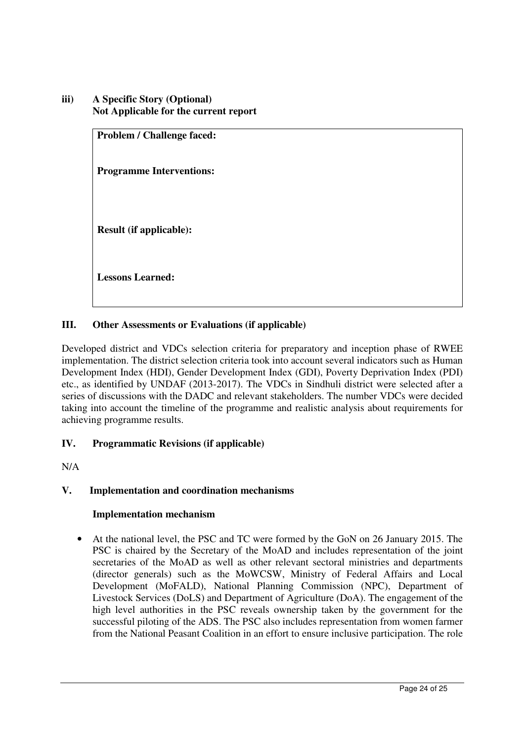**iii) A Specific Story (Optional) Not Applicable for the current report** 

> **Problem / Challenge faced: Programme Interventions: Result (if applicable): Lessons Learned:**

## **III. Other Assessments or Evaluations (if applicable)**

Developed district and VDCs selection criteria for preparatory and inception phase of RWEE implementation. The district selection criteria took into account several indicators such as Human Development Index (HDI), Gender Development Index (GDI), Poverty Deprivation Index (PDI) etc., as identified by UNDAF (2013-2017). The VDCs in Sindhuli district were selected after a series of discussions with the DADC and relevant stakeholders. The number VDCs were decided taking into account the timeline of the programme and realistic analysis about requirements for achieving programme results.

## **IV. Programmatic Revisions (if applicable)**

N/A

## **V. Implementation and coordination mechanisms**

## **Implementation mechanism**

• At the national level, the PSC and TC were formed by the GoN on 26 January 2015. The PSC is chaired by the Secretary of the MoAD and includes representation of the joint secretaries of the MoAD as well as other relevant sectoral ministries and departments (director generals) such as the MoWCSW, Ministry of Federal Affairs and Local Development (MoFALD), National Planning Commission (NPC), Department of Livestock Services (DoLS) and Department of Agriculture (DoA). The engagement of the high level authorities in the PSC reveals ownership taken by the government for the successful piloting of the ADS. The PSC also includes representation from women farmer from the National Peasant Coalition in an effort to ensure inclusive participation. The role